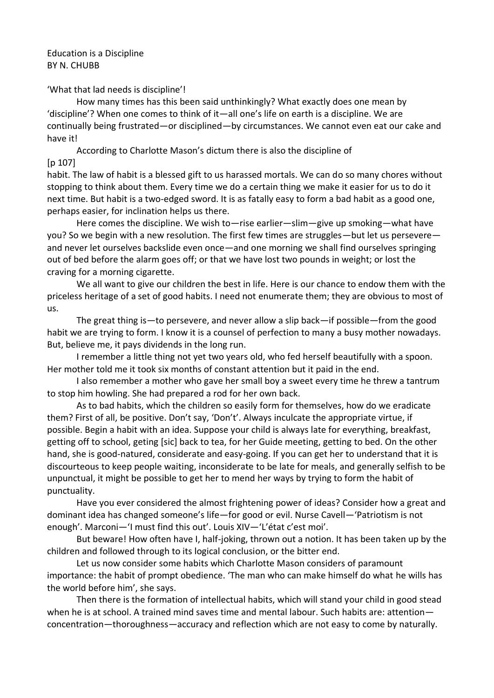Education is a Discipline BY N. CHUBB

'What that lad needs is discipline'!

How many times has this been said unthinkingly? What exactly does one mean by 'discipline'? When one comes to think of it—all one's life on earth is a discipline. We are continually being frustrated—or disciplined—by circumstances. We cannot even eat our cake and have it!

According to Charlotte Mason's dictum there is also the discipline of [p 107]

habit. The law of habit is a blessed gift to us harassed mortals. We can do so many chores without stopping to think about them. Every time we do a certain thing we make it easier for us to do it next time. But habit is a two-edged sword. It is as fatally easy to form a bad habit as a good one, perhaps easier, for inclination helps us there.

Here comes the discipline. We wish to—rise earlier—slim—give up smoking—what have you? So we begin with a new resolution. The first few times are struggles—but let us persevere and never let ourselves backslide even once—and one morning we shall find ourselves springing out of bed before the alarm goes off; or that we have lost two pounds in weight; or lost the craving for a morning cigarette.

We all want to give our children the best in life. Here is our chance to endow them with the priceless heritage of a set of good habits. I need not enumerate them; they are obvious to most of us.

The great thing is—to persevere, and never allow a slip back—if possible—from the good habit we are trying to form. I know it is a counsel of perfection to many a busy mother nowadays. But, believe me, it pays dividends in the long run.

I remember a little thing not yet two years old, who fed herself beautifully with a spoon. Her mother told me it took six months of constant attention but it paid in the end.

I also remember a mother who gave her small boy a sweet every time he threw a tantrum to stop him howling. She had prepared a rod for her own back.

As to bad habits, which the children so easily form for themselves, how do we eradicate them? First of all, be positive. Don't say, 'Don't'. Always inculcate the appropriate virtue, if possible. Begin a habit with an idea. Suppose your child is always late for everything, breakfast, getting off to school, geting [sic] back to tea, for her Guide meeting, getting to bed. On the other hand, she is good-natured, considerate and easy-going. If you can get her to understand that it is discourteous to keep people waiting, inconsiderate to be late for meals, and generally selfish to be unpunctual, it might be possible to get her to mend her ways by trying to form the habit of punctuality.

Have you ever considered the almost frightening power of ideas? Consider how a great and dominant idea has changed someone's life—for good or evil. Nurse Cavell—'Patriotism is not enough'. Marconi—'I must find this out'. Louis XIV—'L'état c'est moi'.

But beware! How often have I, half-joking, thrown out a notion. It has been taken up by the children and followed through to its logical conclusion, or the bitter end.

Let us now consider some habits which Charlotte Mason considers of paramount importance: the habit of prompt obedience. 'The man who can make himself do what he wills has the world before him', she says.

Then there is the formation of intellectual habits, which will stand your child in good stead when he is at school. A trained mind saves time and mental labour. Such habits are: attention concentration—thoroughness—accuracy and reflection which are not easy to come by naturally.